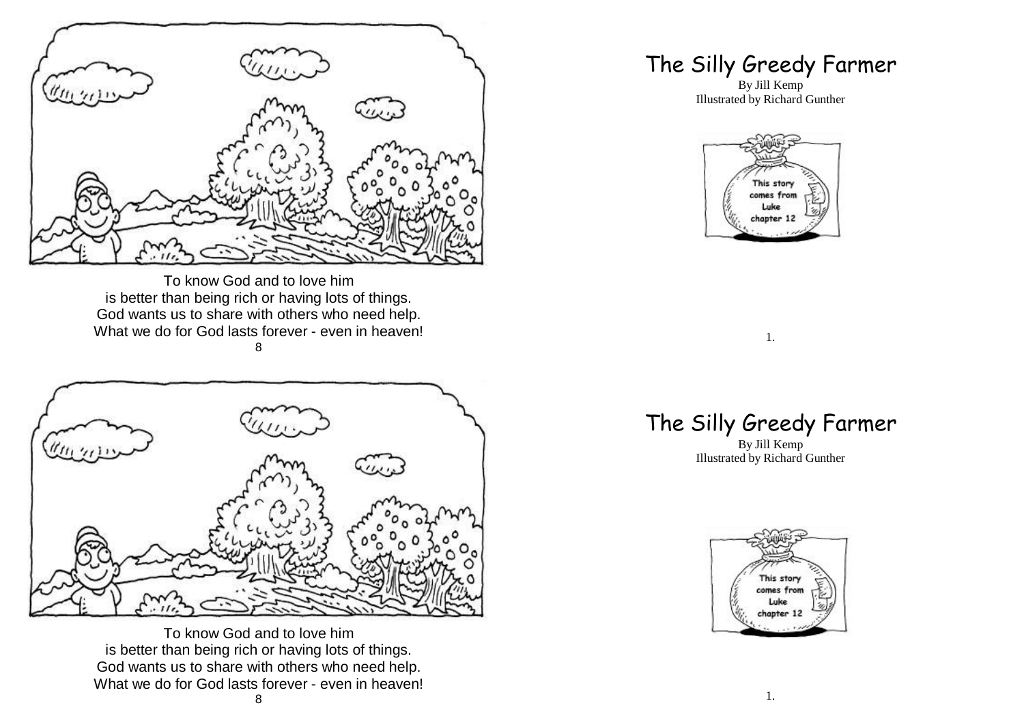

To know God and to love him is better than being rich or having lots of things. God wants us to share with others who need help. What we do for God lasts forever - even in heaven! 8



To know God and to love him is better than being rich or having lots of things. God wants us to share with others who need help. What we do for God lasts forever - even in heaven!

## The Silly Greedy Farmer

By Jill Kemp Illustrated by Richard Gunther



## 1.

## The Silly Greedy Farmer

By Jill Kemp Illustrated by Richard Gunther

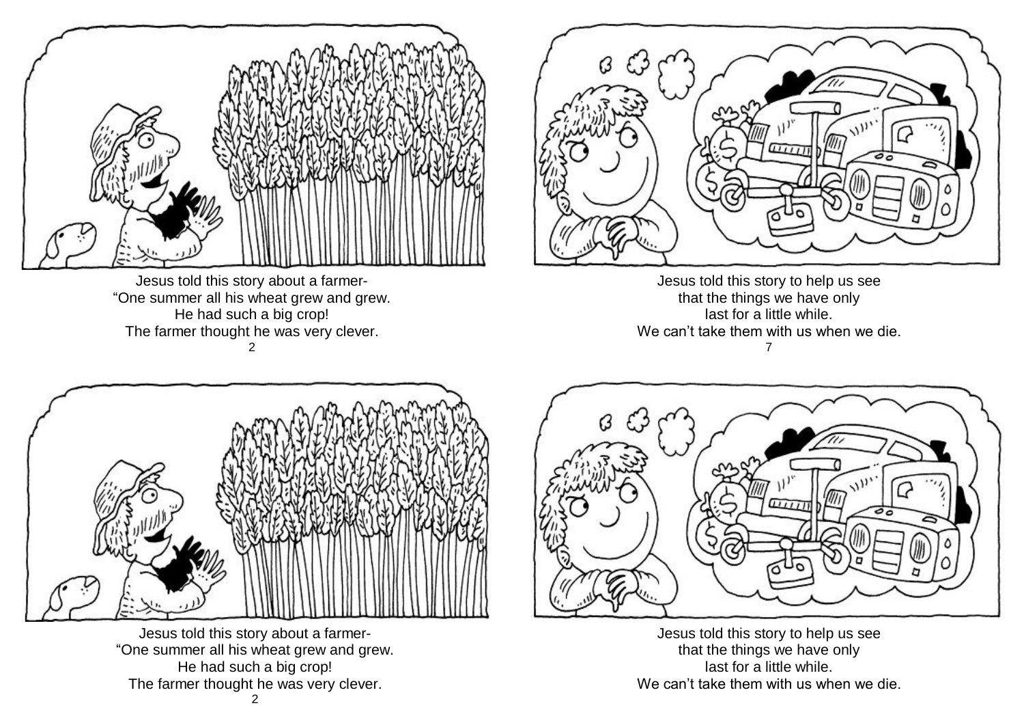

Jesus told this story about a farmer- "One summer all his wheat grew and grew. He had such a big crop! The farmer thought he was very clever. 2



Jesus told this story to help us see that the things we have only last for a little while. We can't take them with us when we die. 7



Jesus told this story about a farmer- "One summer all his wheat grew and grew. He had such a big crop! The farmer thought he was very clever.



Jesus told this story to help us see that the things we have only last for a little while. We can't take them with us when we die.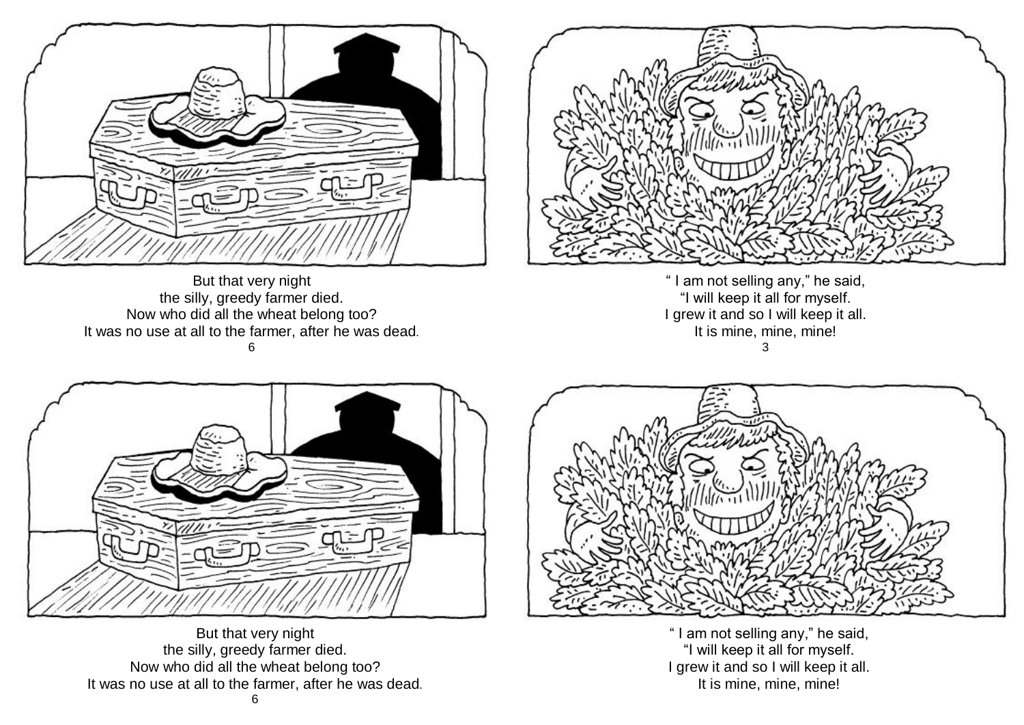

But that very night the silly, greedy farmer died. Now who did all the wheat belong too? It was no use at all to the farmer, after he was dead. 6



" I am not selling any," he said, "I will keep it all for myself. I grew it and so I will keep it all. It is mine, mine, mine! 3



But that very night the silly, greedy farmer died. Now who did all the wheat belong too? It was no use at all to the farmer, after he was dead. 6



" I am not selling any," he said, "I will keep it all for myself. I grew it and so I will keep it all. It is mine, mine, mine!